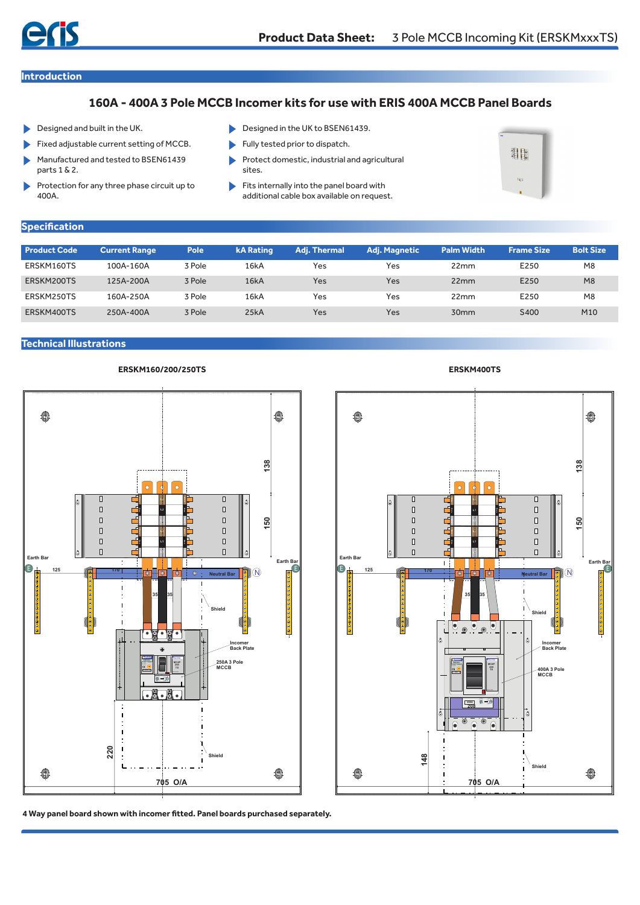**Introduction**

# **160A - 400A 3 Pole MCCB Incomer kits for use with ERIS 400A MCCB Panel Boards**

- $\blacktriangleright$ Designed and built in the UK.
- Fixed adjustable current setting of MCCB.
- Manufactured and tested to BSEN61439 parts 1 & 2.
- Protection for any three phase circuit up to 400A.
- Designed in the UK to BSEN61439.
- ь Fully tested prior to dispatch.
- Protect domestic, industrial and agricultural sites.
- Fits internally into the panel board with ь additional cable box available on request.



### **Specification**

| <b>Product Code</b> | <b>Current Range</b> | Pole <sup>1</sup> | <b>kA Rating</b> | <b>Adi. Thermal</b> | <b>Adj. Magnetic</b> | <b>Palm Width</b> | <b>Frame Size</b> | <b>Bolt Size</b> |
|---------------------|----------------------|-------------------|------------------|---------------------|----------------------|-------------------|-------------------|------------------|
| ERSKM160TS          | 100A-160A            | 3 Pole            | 16kA             | Yes                 | Yes                  | 22mm              | E250              | M <sub>8</sub>   |
| ERSKM200TS          | 125A-200A            | 3 Pole            | 16kA             | Yes                 | Yes                  | 22mm              | E250              | M <sub>8</sub>   |
| ERSKM250TS          | 160A-250A            | 3 Pole            | 16kA             | Yes                 | Yes                  | 22mm              | E250              | M <sub>8</sub>   |
| ERSKM400TS          | 250A-400A            | 3 Pole            | 25kA             | Yes                 | Yes                  | 30 <sub>mm</sub>  | S400              | M <sub>10</sub>  |

#### **Technical Illustrations**







**4 Way panel board shown with incomer fitted. Panel boards purchased separately.**